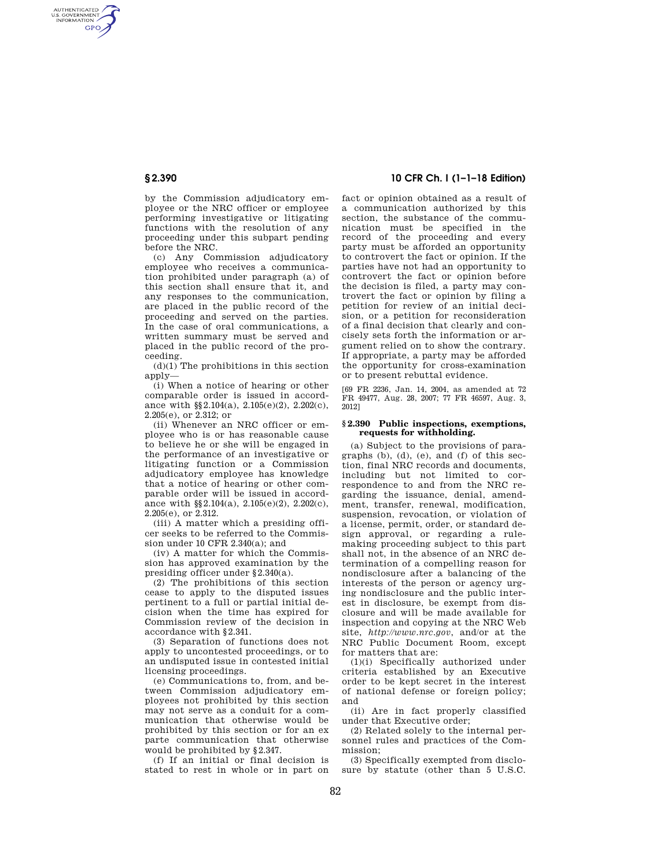AUTHENTICATED<br>U.S. GOVERNMENT<br>INFORMATION **GPO** 

> by the Commission adjudicatory employee or the NRC officer or employee performing investigative or litigating functions with the resolution of any proceeding under this subpart pending before the NRC.

> (c) Any Commission adjudicatory employee who receives a communication prohibited under paragraph (a) of this section shall ensure that it, and any responses to the communication, are placed in the public record of the proceeding and served on the parties. In the case of oral communications, a written summary must be served and placed in the public record of the proceeding.

 $(d)(1)$  The prohibitions in this section apply—

(i) When a notice of hearing or other comparable order is issued in accordance with §§2.104(a), 2.105(e)(2), 2.202(c), 2.205(e), or 2.312; or

(ii) Whenever an NRC officer or employee who is or has reasonable cause to believe he or she will be engaged in the performance of an investigative or litigating function or a Commission adjudicatory employee has knowledge that a notice of hearing or other comparable order will be issued in accordance with  $\S$ 2.104(a), 2.105(e)(2), 2.202(c), 2.205(e), or 2.312.

(iii) A matter which a presiding officer seeks to be referred to the Commission under 10 CFR 2.340(a); and

(iv) A matter for which the Commission has approved examination by the presiding officer under §2.340(a).

(2) The prohibitions of this section cease to apply to the disputed issues pertinent to a full or partial initial decision when the time has expired for Commission review of the decision in accordance with §2.341.

(3) Separation of functions does not apply to uncontested proceedings, or to an undisputed issue in contested initial licensing proceedings.

(e) Communications to, from, and between Commission adjudicatory employees not prohibited by this section may not serve as a conduit for a communication that otherwise would be prohibited by this section or for an ex parte communication that otherwise would be prohibited by §2.347.

(f) If an initial or final decision is stated to rest in whole or in part on

# **§ 2.390 10 CFR Ch. I (1–1–18 Edition)**

fact or opinion obtained as a result of a communication authorized by this section, the substance of the communication must be specified in the record of the proceeding and every party must be afforded an opportunity to controvert the fact or opinion. If the parties have not had an opportunity to controvert the fact or opinion before the decision is filed, a party may controvert the fact or opinion by filing a petition for review of an initial decision, or a petition for reconsideration of a final decision that clearly and concisely sets forth the information or argument relied on to show the contrary. If appropriate, a party may be afforded the opportunity for cross-examination or to present rebuttal evidence.

[69 FR 2236, Jan. 14, 2004, as amended at 72 FR 49477, Aug. 28, 2007; 77 FR 46597, Aug. 3, 2012]

### **§ 2.390 Public inspections, exemptions, requests for withholding.**

(a) Subject to the provisions of paragraphs (b), (d), (e), and (f) of this section, final NRC records and documents, including but not limited to correspondence to and from the NRC regarding the issuance, denial, amendment, transfer, renewal, modification, suspension, revocation, or violation of a license, permit, order, or standard design approval, or regarding a rulemaking proceeding subject to this part shall not, in the absence of an NRC determination of a compelling reason for nondisclosure after a balancing of the interests of the person or agency urging nondisclosure and the public interest in disclosure, be exempt from disclosure and will be made available for inspection and copying at the NRC Web site, *http://www.nrc.gov*, and/or at the NRC Public Document Room, except for matters that are:

(1)(i) Specifically authorized under criteria established by an Executive order to be kept secret in the interest of national defense or foreign policy; and

(ii) Are in fact properly classified under that Executive order;

(2) Related solely to the internal personnel rules and practices of the Commission;

(3) Specifically exempted from disclosure by statute (other than 5 U.S.C.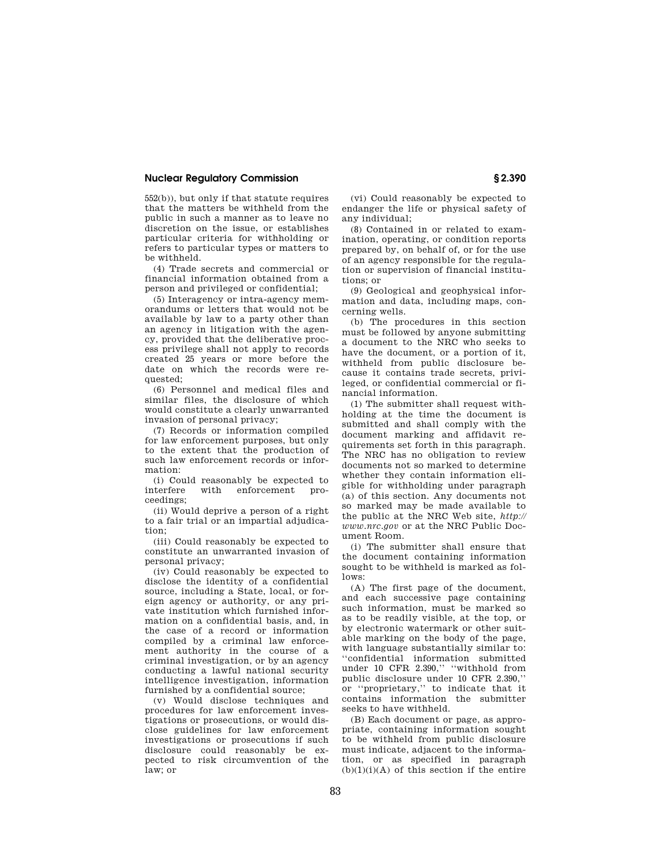## **Nuclear Regulatory Commission § 2.390**

552(b)), but only if that statute requires that the matters be withheld from the public in such a manner as to leave no discretion on the issue, or establishes particular criteria for withholding or refers to particular types or matters to be withheld.

(4) Trade secrets and commercial or financial information obtained from a person and privileged or confidential;

(5) Interagency or intra-agency memorandums or letters that would not be available by law to a party other than an agency in litigation with the agency, provided that the deliberative process privilege shall not apply to records created 25 years or more before the date on which the records were requested;

(6) Personnel and medical files and similar files, the disclosure of which would constitute a clearly unwarranted invasion of personal privacy;

(7) Records or information compiled for law enforcement purposes, but only to the extent that the production of such law enforcement records or information:

(i) Could reasonably be expected to interfere with enforcement proceedings;

(ii) Would deprive a person of a right to a fair trial or an impartial adjudication;

(iii) Could reasonably be expected to constitute an unwarranted invasion of personal privacy;

(iv) Could reasonably be expected to disclose the identity of a confidential source, including a State, local, or foreign agency or authority, or any private institution which furnished information on a confidential basis, and, in the case of a record or information compiled by a criminal law enforcement authority in the course of a criminal investigation, or by an agency conducting a lawful national security intelligence investigation, information furnished by a confidential source;

(v) Would disclose techniques and procedures for law enforcement investigations or prosecutions, or would disclose guidelines for law enforcement investigations or prosecutions if such disclosure could reasonably be expected to risk circumvention of the law; or

(vi) Could reasonably be expected to endanger the life or physical safety of any individual;

(8) Contained in or related to examination, operating, or condition reports prepared by, on behalf of, or for the use of an agency responsible for the regulation or supervision of financial institutions; or

(9) Geological and geophysical information and data, including maps, concerning wells.

(b) The procedures in this section must be followed by anyone submitting a document to the NRC who seeks to have the document, or a portion of it, withheld from public disclosure because it contains trade secrets, privileged, or confidential commercial or financial information.

(1) The submitter shall request withholding at the time the document is submitted and shall comply with the document marking and affidavit requirements set forth in this paragraph. The NRC has no obligation to review documents not so marked to determine whether they contain information eligible for withholding under paragraph (a) of this section. Any documents not so marked may be made available to the public at the NRC Web site, *http:// www.nrc.gov* or at the NRC Public Document Room.

(i) The submitter shall ensure that the document containing information sought to be withheld is marked as follows:

(A) The first page of the document, and each successive page containing such information, must be marked so as to be readily visible, at the top, or by electronic watermark or other suitable marking on the body of the page, with language substantially similar to: ''confidential information submitted under 10 CFR 2.390,'' ''withhold from public disclosure under 10 CFR 2.390,'' or ''proprietary,'' to indicate that it contains information the submitter seeks to have withheld.

(B) Each document or page, as appropriate, containing information sought to be withheld from public disclosure must indicate, adjacent to the information, or as specified in paragraph  $(b)(1)(i)(A)$  of this section if the entire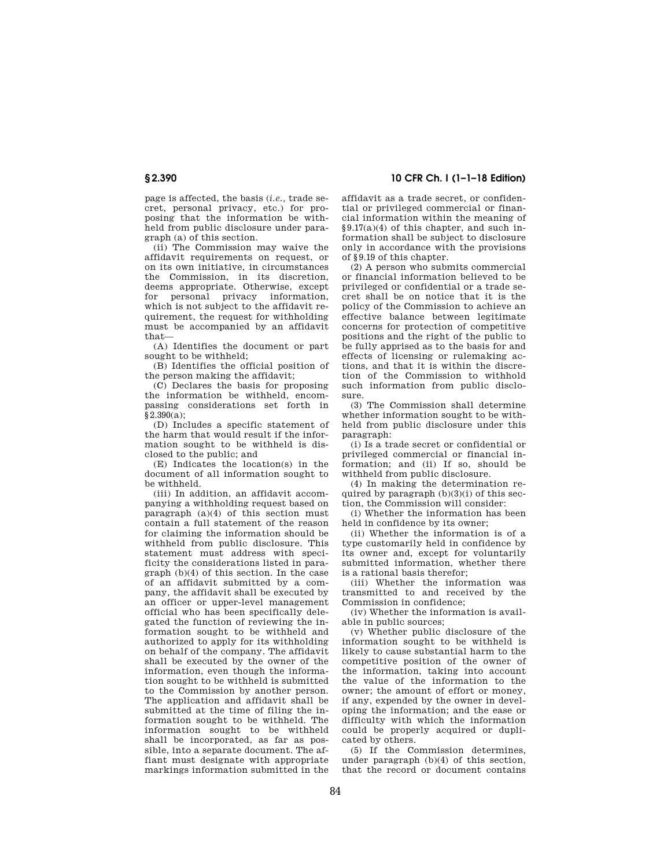page is affected, the basis (*i.e.,* trade secret, personal privacy, etc.) for proposing that the information be withheld from public disclosure under paragraph (a) of this section.

(ii) The Commission may waive the affidavit requirements on request, or on its own initiative, in circumstances the Commission, in its discretion, deems appropriate. Otherwise, except for personal privacy information, which is not subject to the affidavit requirement, the request for withholding must be accompanied by an affidavit that—

(A) Identifies the document or part sought to be withheld;

(B) Identifies the official position of the person making the affidavit;

(C) Declares the basis for proposing the information be withheld, encompassing considerations set forth in  $§2.390(a);$ 

(D) Includes a specific statement of the harm that would result if the information sought to be withheld is disclosed to the public; and

(E) Indicates the location(s) in the document of all information sought to be withheld.

(iii) In addition, an affidavit accompanying a withholding request based on paragraph (a)(4) of this section must contain a full statement of the reason for claiming the information should be withheld from public disclosure. This statement must address with specificity the considerations listed in paragraph (b)(4) of this section. In the case of an affidavit submitted by a company, the affidavit shall be executed by an officer or upper-level management official who has been specifically delegated the function of reviewing the information sought to be withheld and authorized to apply for its withholding on behalf of the company. The affidavit shall be executed by the owner of the information, even though the information sought to be withheld is submitted to the Commission by another person. The application and affidavit shall be submitted at the time of filing the information sought to be withheld. The information sought to be withheld shall be incorporated, as far as possible, into a separate document. The affiant must designate with appropriate markings information submitted in the

# **§ 2.390 10 CFR Ch. I (1–1–18 Edition)**

affidavit as a trade secret, or confidential or privileged commercial or financial information within the meaning of  $§9.17(a)(4)$  of this chapter, and such information shall be subject to disclosure only in accordance with the provisions of §9.19 of this chapter.

(2) A person who submits commercial or financial information believed to be privileged or confidential or a trade secret shall be on notice that it is the policy of the Commission to achieve an effective balance between legitimate concerns for protection of competitive positions and the right of the public to be fully apprised as to the basis for and effects of licensing or rulemaking actions, and that it is within the discretion of the Commission to withhold such information from public disclosure.

(3) The Commission shall determine whether information sought to be withheld from public disclosure under this paragraph:

(i) Is a trade secret or confidential or privileged commercial or financial information; and (ii) If so, should be withheld from public disclosure.

(4) In making the determination required by paragraph  $(b)(3)(i)$  of this section, the Commission will consider:

(i) Whether the information has been held in confidence by its owner;

(ii) Whether the information is of a type customarily held in confidence by its owner and, except for voluntarily submitted information, whether there is a rational basis therefor;

(iii) Whether the information was transmitted to and received by the Commission in confidence;

(iv) Whether the information is available in public sources;

(v) Whether public disclosure of the information sought to be withheld is likely to cause substantial harm to the competitive position of the owner of the information, taking into account the value of the information to the owner; the amount of effort or money, if any, expended by the owner in developing the information; and the ease or difficulty with which the information could be properly acquired or duplicated by others.

(5) If the Commission determines, under paragraph (b)(4) of this section, that the record or document contains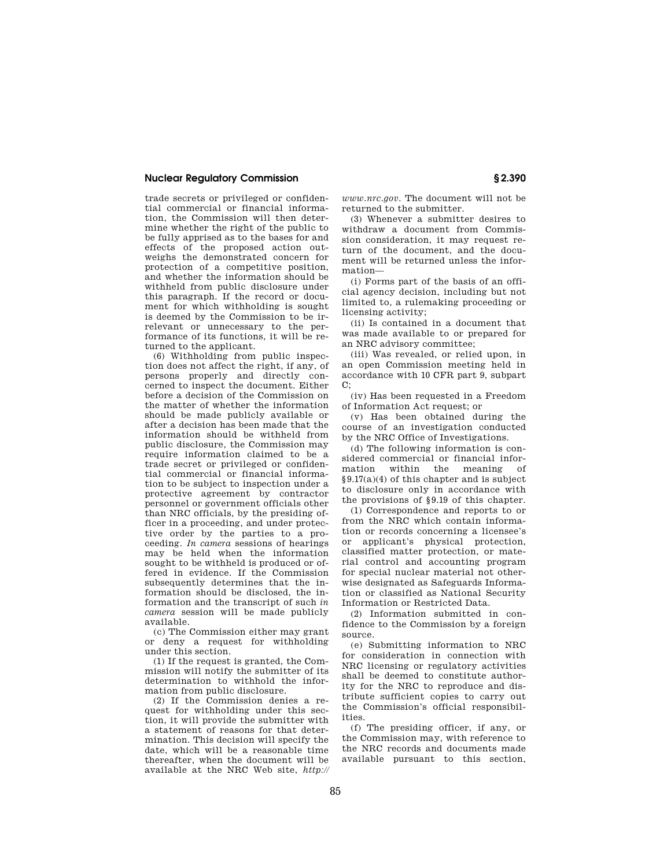## **Nuclear Regulatory Commission § 2.390**

trade secrets or privileged or confidential commercial or financial information, the Commission will then determine whether the right of the public to be fully apprised as to the bases for and effects of the proposed action outweighs the demonstrated concern for protection of a competitive position, and whether the information should be withheld from public disclosure under this paragraph. If the record or document for which withholding is sought is deemed by the Commission to be irrelevant or unnecessary to the performance of its functions, it will be returned to the applicant.

(6) Withholding from public inspection does not affect the right, if any, of persons properly and directly concerned to inspect the document. Either before a decision of the Commission on the matter of whether the information should be made publicly available or after a decision has been made that the information should be withheld from public disclosure, the Commission may require information claimed to be a trade secret or privileged or confidential commercial or financial information to be subject to inspection under a protective agreement by contractor personnel or government officials other than NRC officials, by the presiding officer in a proceeding, and under protective order by the parties to a proceeding. *In camera* sessions of hearings may be held when the information sought to be withheld is produced or offered in evidence. If the Commission subsequently determines that the information should be disclosed, the information and the transcript of such *in camera* session will be made publicly available.

(c) The Commission either may grant or deny a request for withholding under this section.

(1) If the request is granted, the Commission will notify the submitter of its determination to withhold the information from public disclosure.

(2) If the Commission denies a request for withholding under this section, it will provide the submitter with a statement of reasons for that determination. This decision will specify the date, which will be a reasonable time thereafter, when the document will be available at the NRC Web site, *http://*  *www.nrc.gov.* The document will not be returned to the submitter.

(3) Whenever a submitter desires to withdraw a document from Commission consideration, it may request return of the document, and the document will be returned unless the information—

(i) Forms part of the basis of an official agency decision, including but not limited to, a rulemaking proceeding or licensing activity;

(ii) Is contained in a document that was made available to or prepared for an NRC advisory committee;

(iii) Was revealed, or relied upon, in an open Commission meeting held in accordance with 10 CFR part 9, subpart  $C$ :

(iv) Has been requested in a Freedom of Information Act request; or

(v) Has been obtained during the course of an investigation conducted by the NRC Office of Investigations.

(d) The following information is considered commercial or financial inforwithin the meaning of §9.17(a)(4) of this chapter and is subject to disclosure only in accordance with the provisions of §9.19 of this chapter.

(1) Correspondence and reports to or from the NRC which contain information or records concerning a licensee's or applicant's physical protection, classified matter protection, or material control and accounting program for special nuclear material not otherwise designated as Safeguards Information or classified as National Security Information or Restricted Data.

(2) Information submitted in confidence to the Commission by a foreign source.

(e) Submitting information to NRC for consideration in connection with NRC licensing or regulatory activities shall be deemed to constitute authority for the NRC to reproduce and distribute sufficient copies to carry out the Commission's official responsibilities.

(f) The presiding officer, if any, or the Commission may, with reference to the NRC records and documents made available pursuant to this section,